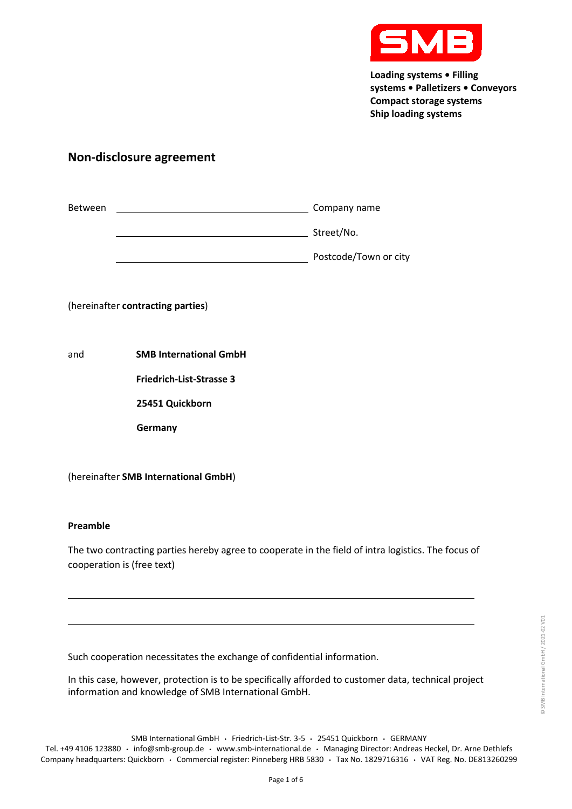

# **Non-disclosure agreement**

| <b>Between</b> | Company name          |
|----------------|-----------------------|
|                | Street/No.            |
|                | Postcode/Town or city |

(hereinafter **contracting parties**)

and **SMB International GmbH**

**Friedrich-List-Strasse 3**

**25451 Quickborn**

**Germany**

(hereinafter **SMB International GmbH**)

## **Preamble**

The two contracting parties hereby agree to cooperate in the field of intra logistics. The focus of cooperation is (free text)

Such cooperation necessitates the exchange of confidential information.

In this case, however, protection is to be specifically afforded to customer data, technical project information and knowledge of SMB International GmbH.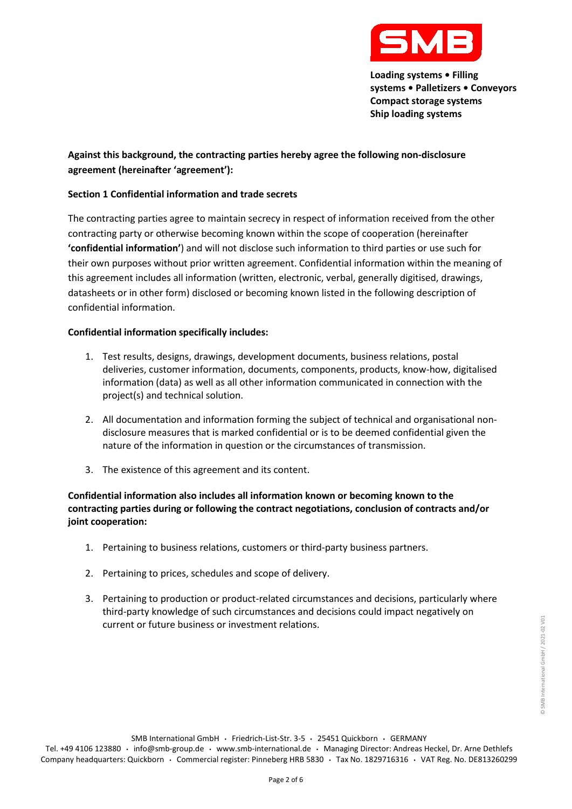

© SMB International GmbH / 2021-02 V01

© SMB International GmbH / 2021-02 V01

## **Against this background, the contracting parties hereby agree the following non-disclosure agreement (hereinafter 'agreement'):**

## **Section 1 Confidential information and trade secrets**

The contracting parties agree to maintain secrecy in respect of information received from the other contracting party or otherwise becoming known within the scope of cooperation (hereinafter **'confidential information'**) and will not disclose such information to third parties or use such for their own purposes without prior written agreement. Confidential information within the meaning of this agreement includes all information (written, electronic, verbal, generally digitised, drawings, datasheets or in other form) disclosed or becoming known listed in the following description of confidential information.

## **Confidential information specifically includes:**

- 1. Test results, designs, drawings, development documents, business relations, postal deliveries, customer information, documents, components, products, know-how, digitalised information (data) as well as all other information communicated in connection with the project(s) and technical solution.
- 2. All documentation and information forming the subject of technical and organisational nondisclosure measures that is marked confidential or is to be deemed confidential given the nature of the information in question or the circumstances of transmission.
- 3. The existence of this agreement and its content.

**Confidential information also includes all information known or becoming known to the contracting parties during or following the contract negotiations, conclusion of contracts and/or joint cooperation:**

- 1. Pertaining to business relations, customers or third-party business partners.
- 2. Pertaining to prices, schedules and scope of delivery.
- 3. Pertaining to production or product-related circumstances and decisions, particularly where third-party knowledge of such circumstances and decisions could impact negatively on current or future business or investment relations.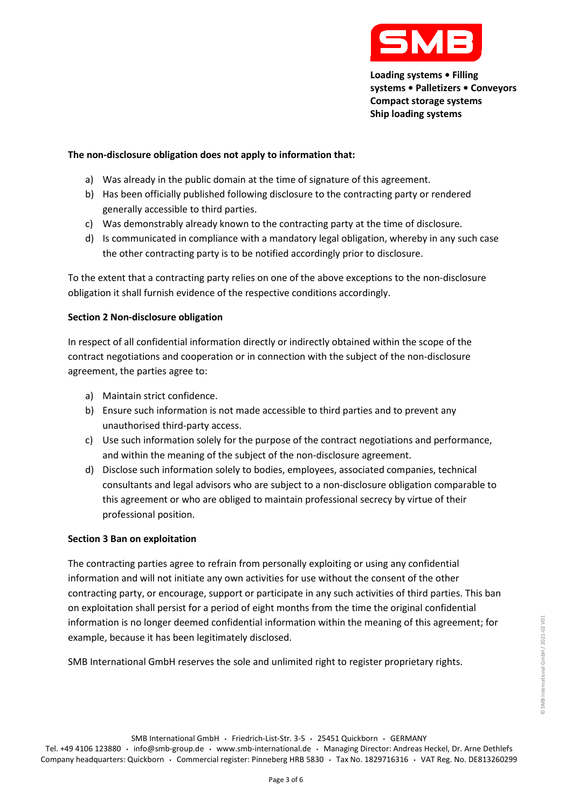

## **The non-disclosure obligation does not apply to information that:**

- a) Was already in the public domain at the time of signature of this agreement.
- b) Has been officially published following disclosure to the contracting party or rendered generally accessible to third parties.
- c) Was demonstrably already known to the contracting party at the time of disclosure.
- d) Is communicated in compliance with a mandatory legal obligation, whereby in any such case the other contracting party is to be notified accordingly prior to disclosure.

To the extent that a contracting party relies on one of the above exceptions to the non-disclosure obligation it shall furnish evidence of the respective conditions accordingly.

## **Section 2 Non-disclosure obligation**

In respect of all confidential information directly or indirectly obtained within the scope of the contract negotiations and cooperation or in connection with the subject of the non-disclosure agreement, the parties agree to:

- a) Maintain strict confidence.
- b) Ensure such information is not made accessible to third parties and to prevent any unauthorised third-party access.
- c) Use such information solely for the purpose of the contract negotiations and performance, and within the meaning of the subject of the non-disclosure agreement.
- d) Disclose such information solely to bodies, employees, associated companies, technical consultants and legal advisors who are subject to a non-disclosure obligation comparable to this agreement or who are obliged to maintain professional secrecy by virtue of their professional position.

## **Section 3 Ban on exploitation**

The contracting parties agree to refrain from personally exploiting or using any confidential information and will not initiate any own activities for use without the consent of the other contracting party, or encourage, support or participate in any such activities of third parties. This ban on exploitation shall persist for a period of eight months from the time the original confidential information is no longer deemed confidential information within the meaning of this agreement; for example, because it has been legitimately disclosed.

SMB International GmbH reserves the sole and unlimited right to register proprietary rights.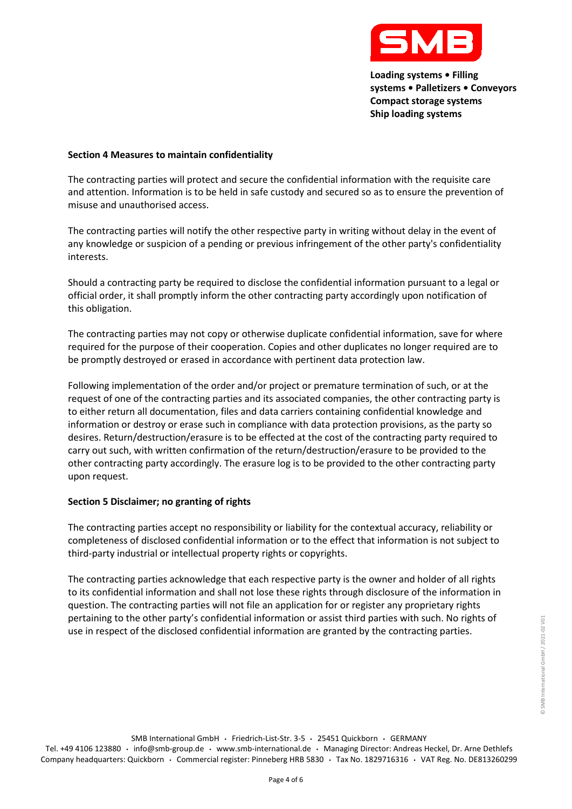

#### **Section 4 Measures to maintain confidentiality**

The contracting parties will protect and secure the confidential information with the requisite care and attention. Information is to be held in safe custody and secured so as to ensure the prevention of misuse and unauthorised access.

The contracting parties will notify the other respective party in writing without delay in the event of any knowledge or suspicion of a pending or previous infringement of the other party's confidentiality interests.

Should a contracting party be required to disclose the confidential information pursuant to a legal or official order, it shall promptly inform the other contracting party accordingly upon notification of this obligation.

The contracting parties may not copy or otherwise duplicate confidential information, save for where required for the purpose of their cooperation. Copies and other duplicates no longer required are to be promptly destroyed or erased in accordance with pertinent data protection law.

Following implementation of the order and/or project or premature termination of such, or at the request of one of the contracting parties and its associated companies, the other contracting party is to either return all documentation, files and data carriers containing confidential knowledge and information or destroy or erase such in compliance with data protection provisions, as the party so desires. Return/destruction/erasure is to be effected at the cost of the contracting party required to carry out such, with written confirmation of the return/destruction/erasure to be provided to the other contracting party accordingly. The erasure log is to be provided to the other contracting party upon request.

## **Section 5 Disclaimer; no granting of rights**

The contracting parties accept no responsibility or liability for the contextual accuracy, reliability or completeness of disclosed confidential information or to the effect that information is not subject to third-party industrial or intellectual property rights or copyrights.

The contracting parties acknowledge that each respective party is the owner and holder of all rights to its confidential information and shall not lose these rights through disclosure of the information in question. The contracting parties will not file an application for or register any proprietary rights pertaining to the other party's confidential information or assist third parties with such. No rights of use in respect of the disclosed confidential information are granted by the contracting parties.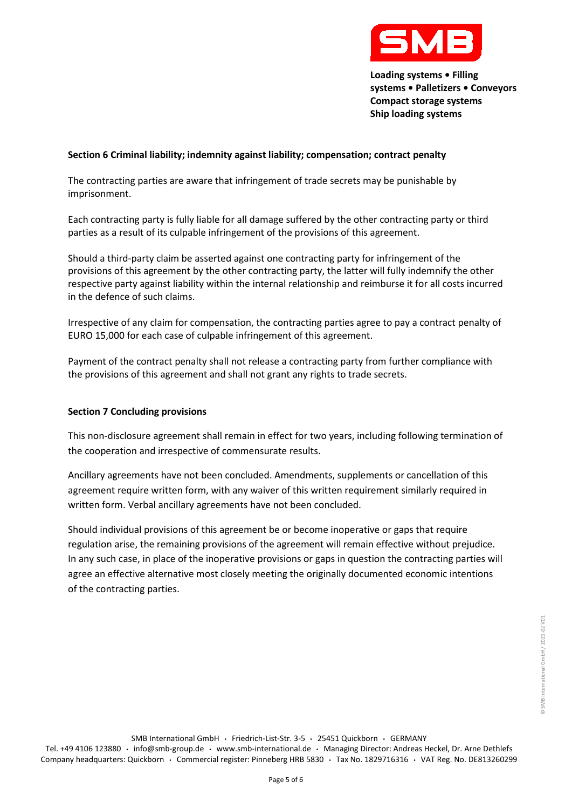

© SMB International GmbH / 2021-02 V01

© SMB International GmbH / 2021-02 V01

## **Section 6 Criminal liability; indemnity against liability; compensation; contract penalty**

The contracting parties are aware that infringement of trade secrets may be punishable by imprisonment.

Each contracting party is fully liable for all damage suffered by the other contracting party or third parties as a result of its culpable infringement of the provisions of this agreement.

Should a third-party claim be asserted against one contracting party for infringement of the provisions of this agreement by the other contracting party, the latter will fully indemnify the other respective party against liability within the internal relationship and reimburse it for all costs incurred in the defence of such claims.

Irrespective of any claim for compensation, the contracting parties agree to pay a contract penalty of EURO 15,000 for each case of culpable infringement of this agreement.

Payment of the contract penalty shall not release a contracting party from further compliance with the provisions of this agreement and shall not grant any rights to trade secrets.

## **Section 7 Concluding provisions**

This non-disclosure agreement shall remain in effect for two years, including following termination of the cooperation and irrespective of commensurate results.

Ancillary agreements have not been concluded. Amendments, supplements or cancellation of this agreement require written form, with any waiver of this written requirement similarly required in written form. Verbal ancillary agreements have not been concluded.

Should individual provisions of this agreement be or become inoperative or gaps that require regulation arise, the remaining provisions of the agreement will remain effective without prejudice. In any such case, in place of the inoperative provisions or gaps in question the contracting parties will agree an effective alternative most closely meeting the originally documented economic intentions of the contracting parties.